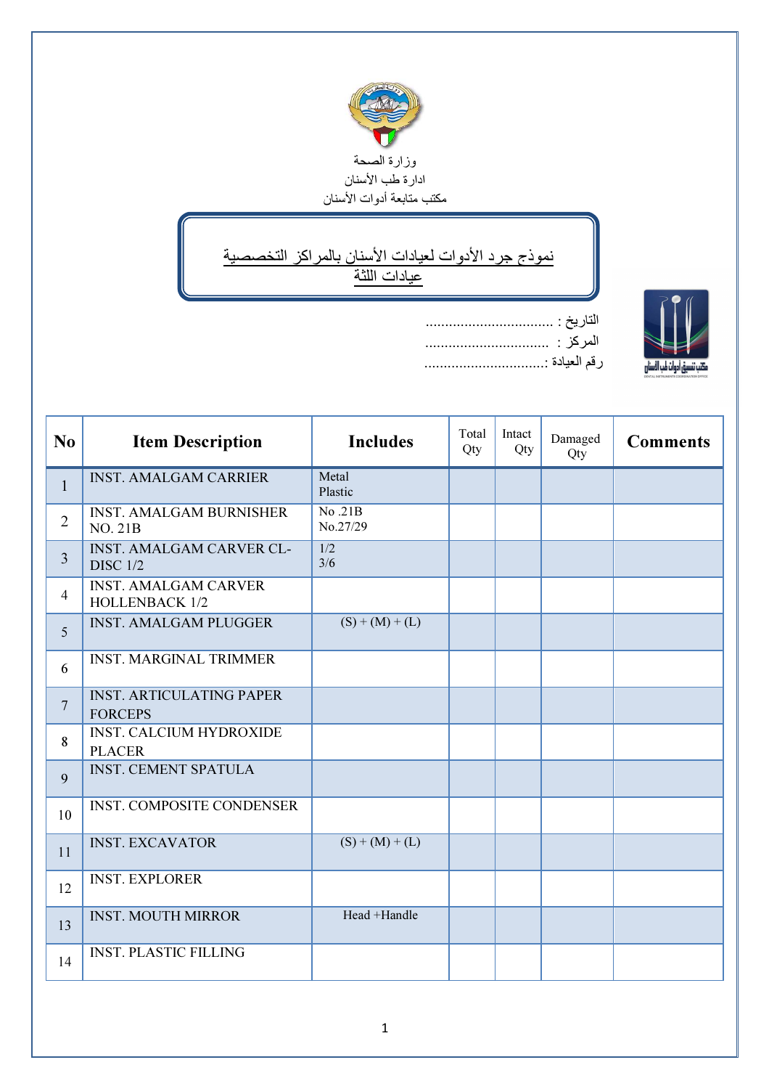

## ↘ نموذج جرد الأدوات لعيادات الأسنان بالمراكز التخصصية عيادات اللثة



| رقم العيادة : |
|---------------|

| N <sub>0</sub> | <b>Item Description</b>                              | <b>Includes</b>    | Total<br>Qty | Intact<br>Qty | Damaged<br>Qty | <b>Comments</b> |
|----------------|------------------------------------------------------|--------------------|--------------|---------------|----------------|-----------------|
| $\mathbf{1}$   | <b>INST. AMALGAM CARRIER</b>                         | Metal<br>Plastic   |              |               |                |                 |
| $\overline{2}$ | <b>INST. AMALGAM BURNISHER</b><br><b>NO. 21B</b>     | No.21B<br>No.27/29 |              |               |                |                 |
| $\overline{3}$ | <b>INST. AMALGAM CARVER CL-</b><br><b>DISC 1/2</b>   | 1/2<br>3/6         |              |               |                |                 |
| $\overline{4}$ | <b>INST. AMALGAM CARVER</b><br><b>HOLLENBACK 1/2</b> |                    |              |               |                |                 |
| 5              | <b>INST. AMALGAM PLUGGER</b>                         | $(S) + (M) + (L)$  |              |               |                |                 |
| 6              | <b>INST. MARGINAL TRIMMER</b>                        |                    |              |               |                |                 |
| $\overline{7}$ | <b>INST. ARTICULATING PAPER</b><br><b>FORCEPS</b>    |                    |              |               |                |                 |
| 8              | <b>INST. CALCIUM HYDROXIDE</b><br><b>PLACER</b>      |                    |              |               |                |                 |
| 9              | <b>INST. CEMENT SPATULA</b>                          |                    |              |               |                |                 |
| 10             | <b>INST. COMPOSITE CONDENSER</b>                     |                    |              |               |                |                 |
| 11             | <b>INST. EXCAVATOR</b>                               | $(S) + (M) + (L)$  |              |               |                |                 |
| 12             | <b>INST. EXPLORER</b>                                |                    |              |               |                |                 |
| 13             | <b>INST. MOUTH MIRROR</b>                            | Head +Handle       |              |               |                |                 |
| 14             | <b>INST. PLASTIC FILLING</b>                         |                    |              |               |                |                 |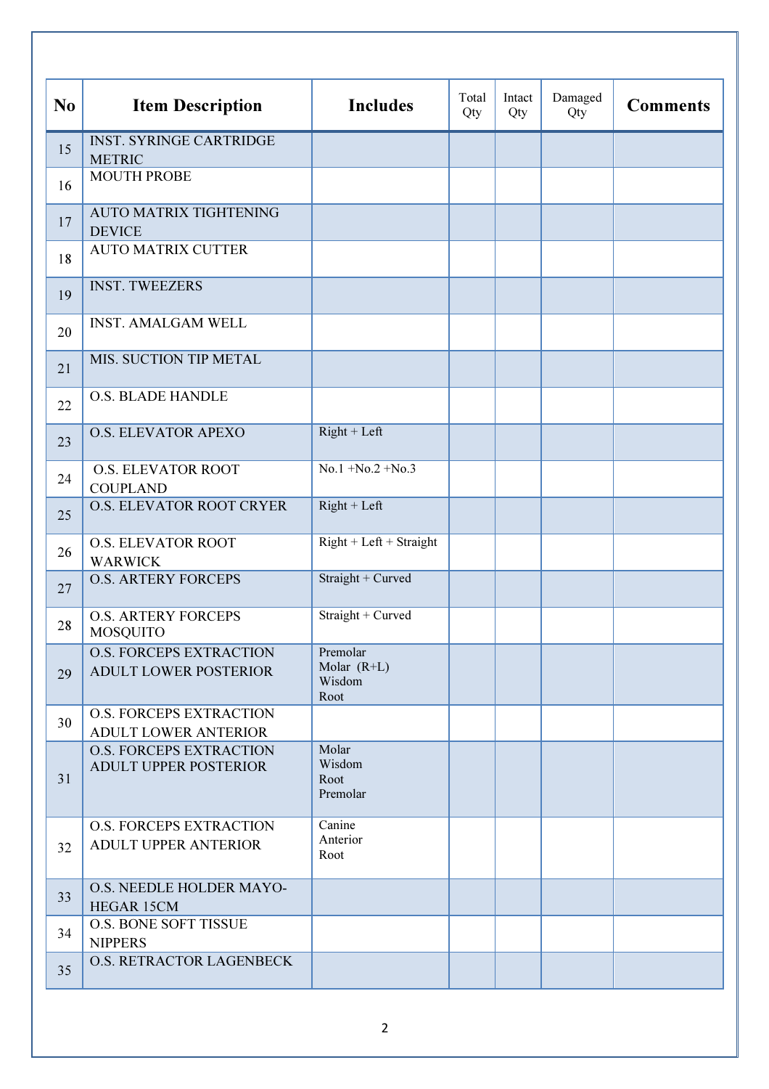| N <sub>0</sub> | <b>Item Description</b>                                        | <b>Includes</b>                             | Total<br>Qty | Intact<br>Qty | Damaged<br>Qty | <b>Comments</b> |
|----------------|----------------------------------------------------------------|---------------------------------------------|--------------|---------------|----------------|-----------------|
| 15             | <b>INST. SYRINGE CARTRIDGE</b><br><b>METRIC</b>                |                                             |              |               |                |                 |
| 16             | <b>MOUTH PROBE</b>                                             |                                             |              |               |                |                 |
| 17             | <b>AUTO MATRIX TIGHTENING</b><br><b>DEVICE</b>                 |                                             |              |               |                |                 |
| 18             | <b>AUTO MATRIX CUTTER</b>                                      |                                             |              |               |                |                 |
| 19             | <b>INST. TWEEZERS</b>                                          |                                             |              |               |                |                 |
| 20             | <b>INST. AMALGAM WELL</b>                                      |                                             |              |               |                |                 |
| 21             | MIS. SUCTION TIP METAL                                         |                                             |              |               |                |                 |
| 22             | O.S. BLADE HANDLE                                              |                                             |              |               |                |                 |
| 23             | <b>O.S. ELEVATOR APEXO</b>                                     | $Right + Left$                              |              |               |                |                 |
| 24             | <b>O.S. ELEVATOR ROOT</b><br><b>COUPLAND</b>                   | $No.1 + No.2 + No.3$                        |              |               |                |                 |
| 25             | O.S. ELEVATOR ROOT CRYER                                       | $Right + Left$                              |              |               |                |                 |
| 26             | <b>O.S. ELEVATOR ROOT</b><br><b>WARWICK</b>                    | $Right + Left + Straight$                   |              |               |                |                 |
| 27             | <b>O.S. ARTERY FORCEPS</b>                                     | Straight + Curved                           |              |               |                |                 |
| 28             | <b>O.S. ARTERY FORCEPS</b><br><b>MOSQUITO</b>                  | Straight + Curved                           |              |               |                |                 |
| 29             | <b>O.S. FORCEPS EXTRACTION</b><br><b>ADULT LOWER POSTERIOR</b> | Premolar<br>Molar $(R+L)$<br>Wisdom<br>Root |              |               |                |                 |
| 30             | <b>O.S. FORCEPS EXTRACTION</b><br><b>ADULT LOWER ANTERIOR</b>  |                                             |              |               |                |                 |
| 31             | <b>O.S. FORCEPS EXTRACTION</b><br><b>ADULT UPPER POSTERIOR</b> | Molar<br>Wisdom<br>Root<br>Premolar         |              |               |                |                 |
| 32             | <b>O.S. FORCEPS EXTRACTION</b><br><b>ADULT UPPER ANTERIOR</b>  | Canine<br>Anterior<br>Root                  |              |               |                |                 |
| 33             | O.S. NEEDLE HOLDER MAYO-<br>HEGAR 15CM                         |                                             |              |               |                |                 |
| 34             | <b>O.S. BONE SOFT TISSUE</b><br><b>NIPPERS</b>                 |                                             |              |               |                |                 |
| 35             | O.S. RETRACTOR LAGENBECK                                       |                                             |              |               |                |                 |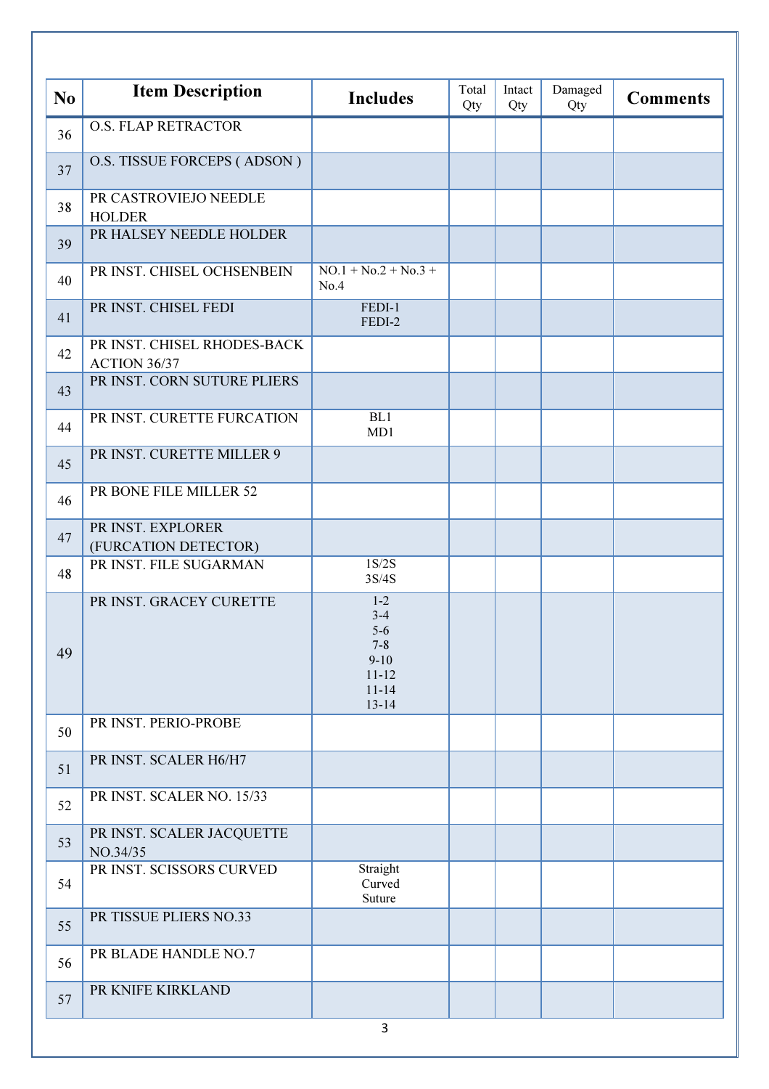| N <sub>o</sub> | <b>Item Description</b>                     | <b>Includes</b>                                                                           | Total<br>Qty | Intact<br>Qty | Damaged<br>Qty | <b>Comments</b> |
|----------------|---------------------------------------------|-------------------------------------------------------------------------------------------|--------------|---------------|----------------|-----------------|
| 36             | <b>O.S. FLAP RETRACTOR</b>                  |                                                                                           |              |               |                |                 |
| 37             | O.S. TISSUE FORCEPS (ADSON)                 |                                                                                           |              |               |                |                 |
| 38             | PR CASTROVIEJO NEEDLE<br><b>HOLDER</b>      |                                                                                           |              |               |                |                 |
| 39             | PR HALSEY NEEDLE HOLDER                     |                                                                                           |              |               |                |                 |
| 40             | PR INST. CHISEL OCHSENBEIN                  | $NO.1 + No.2 + No.3 +$<br>No.4                                                            |              |               |                |                 |
| 41             | PR INST. CHISEL FEDI                        | FEDI-1<br>FEDI-2                                                                          |              |               |                |                 |
| 42             | PR INST. CHISEL RHODES-BACK<br>ACTION 36/37 |                                                                                           |              |               |                |                 |
| 43             | PR INST. CORN SUTURE PLIERS                 |                                                                                           |              |               |                |                 |
| 44             | PR INST. CURETTE FURCATION                  | BL1<br>MD1                                                                                |              |               |                |                 |
| 45             | PR INST. CURETTE MILLER 9                   |                                                                                           |              |               |                |                 |
| 46             | PR BONE FILE MILLER 52                      |                                                                                           |              |               |                |                 |
| 47             | PR INST. EXPLORER<br>(FURCATION DETECTOR)   |                                                                                           |              |               |                |                 |
| 48             | PR INST. FILE SUGARMAN                      | 1S/2S<br>3S/4S                                                                            |              |               |                |                 |
| 49             | PR INST. GRACEY CURETTE                     | $1 - 2$<br>$3 - 4$<br>$5-6$<br>$7 - 8$<br>$9 - 10$<br>$11 - 12$<br>$11 - 14$<br>$13 - 14$ |              |               |                |                 |
| 50             | PR INST. PERIO-PROBE                        |                                                                                           |              |               |                |                 |
| 51             | PR INST. SCALER H6/H7                       |                                                                                           |              |               |                |                 |
| 52             | PR INST. SCALER NO. 15/33                   |                                                                                           |              |               |                |                 |
| 53             | PR INST. SCALER JACQUETTE<br>NO.34/35       |                                                                                           |              |               |                |                 |
| 54             | PR INST. SCISSORS CURVED                    | Straight<br>Curved<br>Suture                                                              |              |               |                |                 |
| 55             | PR TISSUE PLIERS NO.33                      |                                                                                           |              |               |                |                 |
| 56             | PR BLADE HANDLE NO.7                        |                                                                                           |              |               |                |                 |
| 57             | PR KNIFE KIRKLAND                           | $\overline{3}$                                                                            |              |               |                |                 |